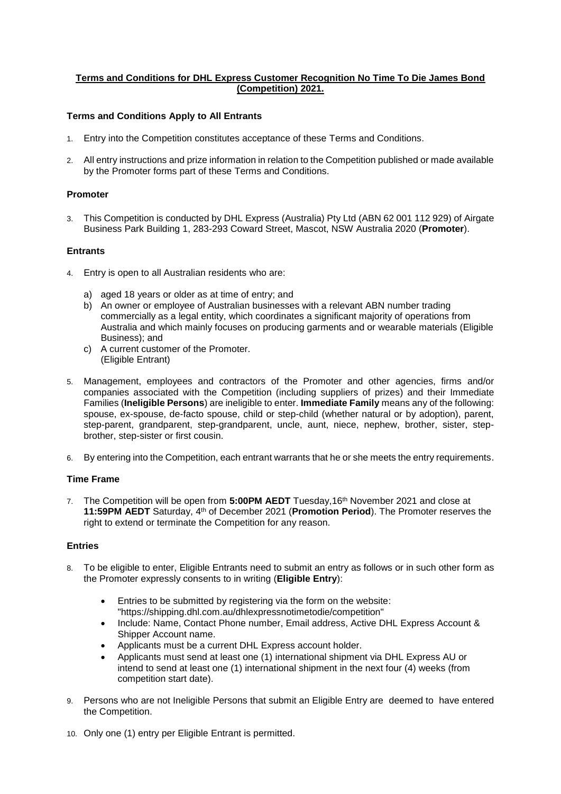# **Terms and Conditions for DHL Express Customer Recognition No Time To Die James Bond (Competition) 2021.**

# **Terms and Conditions Apply to All Entrants**

- 1. Entry into the Competition constitutes acceptance of these Terms and Conditions.
- 2. All entry instructions and prize information in relation to the Competition published or made available by the Promoter forms part of these Terms and Conditions.

# **Promoter**

3. This Competition is conducted by DHL Express (Australia) Pty Ltd (ABN 62 001 112 929) of Airgate Business Park Building 1, 283-293 Coward Street, Mascot, NSW Australia 2020 (**Promoter**).

# **Entrants**

- 4. Entry is open to all Australian residents who are:
	- a) aged 18 years or older as at time of entry; and
	- b) An owner or employee of Australian businesses with a relevant ABN number trading commercially as a legal entity, which coordinates a significant majority of operations from Australia and which mainly focuses on producing garments and or wearable materials (Eligible Business); and
	- c) A current customer of the Promoter. (Eligible Entrant)
- 5. Management, employees and contractors of the Promoter and other agencies, firms and/or companies associated with the Competition (including suppliers of prizes) and their Immediate Families (**Ineligible Persons**) are ineligible to enter. **Immediate Family** means any of the following: spouse, ex-spouse, de-facto spouse, child or step-child (whether natural or by adoption), parent, step-parent, grandparent, step-grandparent, uncle, aunt, niece, nephew, brother, sister, stepbrother, step-sister or first cousin.
- 6. By entering into the Competition, each entrant warrants that he or she meets the entry requirements.

## **Time Frame**

7. The Competition will be open from **5:00PM AEDT** Tuesday,16th November 2021 and close at **11:59PM AEDT** Saturday, 4th of December 2021 (**Promotion Period**). The Promoter reserves the right to extend or terminate the Competition for any reason.

## **Entries**

- 8. To be eligible to enter, Eligible Entrants need to submit an entry as follows or in such other form as the Promoter expressly consents to in writing (**Eligible Entry**):
	- Entries to be submitted by registering via the form on the website: "https://shipping.dhl.com.au/dhlexpressnotimetodie/competition"
	- Include: Name, Contact Phone number, Email address, Active DHL Express Account & Shipper Account name.
	- Applicants must be a current DHL Express account holder.
	- Applicants must send at least one (1) international shipment via DHL Express AU or intend to send at least one (1) international shipment in the next four (4) weeks (from competition start date).
- 9. Persons who are not Ineligible Persons that submit an Eligible Entry are deemed to have entered the Competition.
- 10. Only one (1) entry per Eligible Entrant is permitted.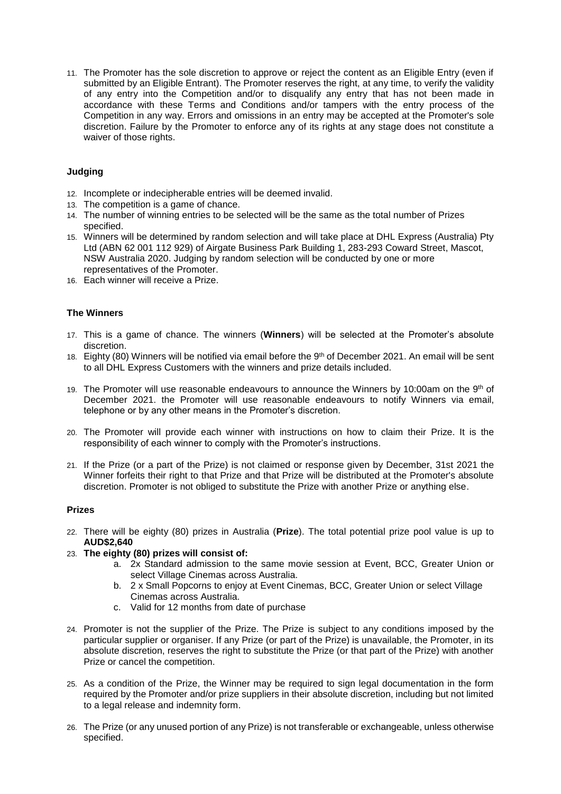11. The Promoter has the sole discretion to approve or reject the content as an Eligible Entry (even if submitted by an Eligible Entrant). The Promoter reserves the right, at any time, to verify the validity of any entry into the Competition and/or to disqualify any entry that has not been made in accordance with these Terms and Conditions and/or tampers with the entry process of the Competition in any way. Errors and omissions in an entry may be accepted at the Promoter's sole discretion. Failure by the Promoter to enforce any of its rights at any stage does not constitute a waiver of those rights.

# **Judging**

- 12. Incomplete or indecipherable entries will be deemed invalid.
- 13. The competition is a game of chance.
- 14. The number of winning entries to be selected will be the same as the total number of Prizes specified.
- 15. Winners will be determined by random selection and will take place at DHL Express (Australia) Pty Ltd (ABN 62 001 112 929) of Airgate Business Park Building 1, 283-293 Coward Street, Mascot, NSW Australia 2020. Judging by random selection will be conducted by one or more representatives of the Promoter.
- 16. Each winner will receive a Prize.

## **The Winners**

- 17. This is a game of chance. The winners (**Winners**) will be selected at the Promoter's absolute discretion.
- 18. Eighty (80) Winners will be notified via email before the 9<sup>th</sup> of December 2021. An email will be sent to all DHL Express Customers with the winners and prize details included.
- 19. The Promoter will use reasonable endeavours to announce the Winners by 10:00am on the  $9<sup>th</sup>$  of December 2021. the Promoter will use reasonable endeavours to notify Winners via email, telephone or by any other means in the Promoter's discretion.
- 20. The Promoter will provide each winner with instructions on how to claim their Prize. It is the responsibility of each winner to comply with the Promoter's instructions.
- 21. If the Prize (or a part of the Prize) is not claimed or response given by December, 31st 2021 the Winner forfeits their right to that Prize and that Prize will be distributed at the Promoter's absolute discretion. Promoter is not obliged to substitute the Prize with another Prize or anything else.

### **Prizes**

- 22. There will be eighty (80) prizes in Australia (**Prize**). The total potential prize pool value is up to **AUD\$2,640**
- 23. **The eighty (80) prizes will consist of:**
	- a. 2x Standard admission to the same movie session at Event, BCC, Greater Union or select Village Cinemas across Australia.
	- b. 2 x Small Popcorns to enjoy at Event Cinemas, BCC, Greater Union or select Village Cinemas across Australia.
	- c. Valid for 12 months from date of purchase
- 24. Promoter is not the supplier of the Prize. The Prize is subject to any conditions imposed by the particular supplier or organiser. If any Prize (or part of the Prize) is unavailable, the Promoter, in its absolute discretion, reserves the right to substitute the Prize (or that part of the Prize) with another Prize or cancel the competition.
- 25. As a condition of the Prize, the Winner may be required to sign legal documentation in the form required by the Promoter and/or prize suppliers in their absolute discretion, including but not limited to a legal release and indemnity form.
- 26. The Prize (or any unused portion of any Prize) is not transferable or exchangeable, unless otherwise specified.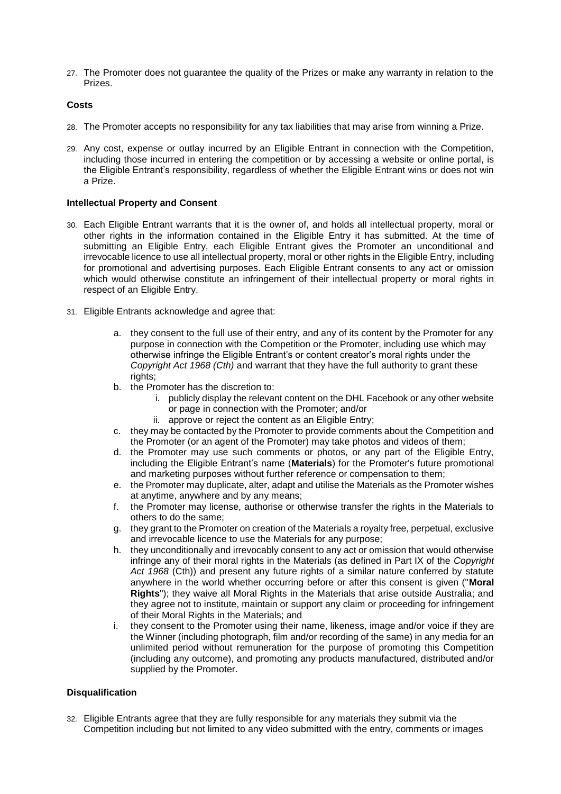27. The Promoter does not guarantee the quality of the Prizes or make any warranty in relation to the Prizes.

## **Costs**

- 28. The Promoter accepts no responsibility for any tax liabilities that may arise from winning a Prize.
- 29. Any cost, expense or outlay incurred by an Eligible Entrant in connection with the Competition, including those incurred in entering the competition or by accessing a website or online portal, is the Eligible Entrant's responsibility, regardless of whether the Eligible Entrant wins or does not win a Prize.

### **Intellectual Property and Consent**

- 30. Each Eligible Entrant warrants that it is the owner of, and holds all intellectual property, moral or other rights in the information contained in the Eligible Entry it has submitted. At the time of submitting an Eligible Entry, each Eligible Entrant gives the Promoter an unconditional and irrevocable licence to use all intellectual property, moral or other rights in the Eligible Entry, including for promotional and advertising purposes. Each Eligible Entrant consents to any act or omission which would otherwise constitute an infringement of their intellectual property or moral rights in respect of an Eligible Entry.
- 31. Eligible Entrants acknowledge and agree that:
	- a. they consent to the full use of their entry, and any of its content by the Promoter for any purpose in connection with the Competition or the Promoter, including use which may otherwise infringe the Eligible Entrant's or content creator's moral rights under the *Copyright Act 1968 (Cth)* and warrant that they have the full authority to grant these rights:
	- b. the Promoter has the discretion to:
		- i. publicly display the relevant content on the DHL Facebook or any other website or page in connection with the Promoter; and/or
		- ii. approve or reject the content as an Eligible Entry;
	- c. they may be contacted by the Promoter to provide comments about the Competition and the Promoter (or an agent of the Promoter) may take photos and videos of them;
	- d. the Promoter may use such comments or photos, or any part of the Eligible Entry, including the Eligible Entrant's name (**Materials**) for the Promoter's future promotional and marketing purposes without further reference or compensation to them;
	- e. the Promoter may duplicate, alter, adapt and utilise the Materials as the Promoter wishes at anytime, anywhere and by any means;
	- f. the Promoter may license, authorise or otherwise transfer the rights in the Materials to others to do the same;
	- g. they grant to the Promoter on creation of the Materials a royalty free, perpetual, exclusive and irrevocable licence to use the Materials for any purpose;
	- h. they unconditionally and irrevocably consent to any act or omission that would otherwise infringe any of their moral rights in the Materials (as defined in Part IX of the *Copyright Act 1968* (Cth)) and present any future rights of a similar nature conferred by statute anywhere in the world whether occurring before or after this consent is given ("**Moral Rights**"); they waive all Moral Rights in the Materials that arise outside Australia; and they agree not to institute, maintain or support any claim or proceeding for infringement of their Moral Rights in the Materials; and
	- i. they consent to the Promoter using their name, likeness, image and/or voice if they are the Winner (including photograph, film and/or recording of the same) in any media for an unlimited period without remuneration for the purpose of promoting this Competition (including any outcome), and promoting any products manufactured, distributed and/or supplied by the Promoter.

### **Disqualification**

32. Eligible Entrants agree that they are fully responsible for any materials they submit via the Competition including but not limited to any video submitted with the entry, comments or images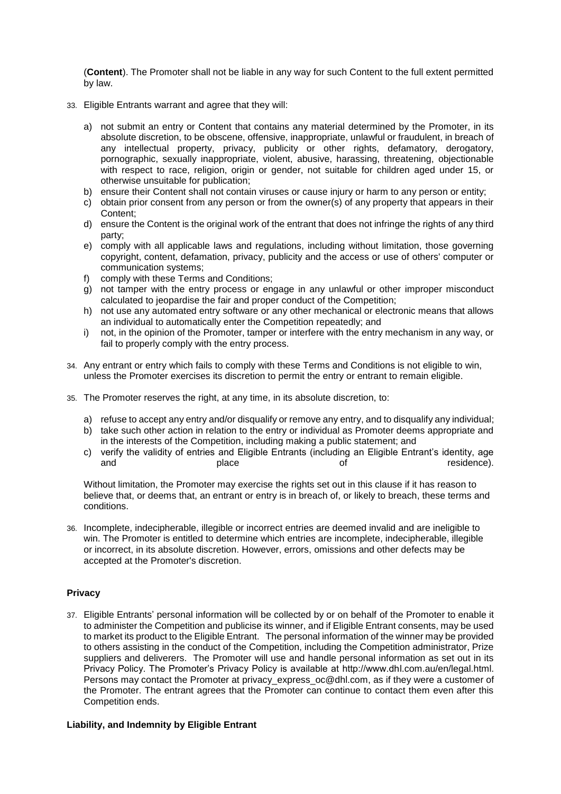(**Content**). The Promoter shall not be liable in any way for such Content to the full extent permitted by law.

- 33. Eligible Entrants warrant and agree that they will:
	- a) not submit an entry or Content that contains any material determined by the Promoter, in its absolute discretion, to be obscene, offensive, inappropriate, unlawful or fraudulent, in breach of any intellectual property, privacy, publicity or other rights, defamatory, derogatory, pornographic, sexually inappropriate, violent, abusive, harassing, threatening, objectionable with respect to race, religion, origin or gender, not suitable for children aged under 15, or otherwise unsuitable for publication;
	- b) ensure their Content shall not contain viruses or cause injury or harm to any person or entity;
	- c) obtain prior consent from any person or from the owner(s) of any property that appears in their Content;
	- d) ensure the Content is the original work of the entrant that does not infringe the rights of any third party;
	- e) comply with all applicable laws and regulations, including without limitation, those governing copyright, content, defamation, privacy, publicity and the access or use of others' computer or communication systems;
	- f) comply with these Terms and Conditions;
	- g) not tamper with the entry process or engage in any unlawful or other improper misconduct calculated to jeopardise the fair and proper conduct of the Competition;
	- h) not use any automated entry software or any other mechanical or electronic means that allows an individual to automatically enter the Competition repeatedly; and
	- i) not, in the opinion of the Promoter, tamper or interfere with the entry mechanism in any way, or fail to properly comply with the entry process.
- 34. Any entrant or entry which fails to comply with these Terms and Conditions is not eligible to win, unless the Promoter exercises its discretion to permit the entry or entrant to remain eligible.
- 35. The Promoter reserves the right, at any time, in its absolute discretion, to:
	- a) refuse to accept any entry and/or disqualify or remove any entry, and to disqualify any individual;
	- b) take such other action in relation to the entry or individual as Promoter deems appropriate and in the interests of the Competition, including making a public statement; and
	- c) verify the validity of entries and Eligible Entrants (including an Eligible Entrant's identity, age and place **place place** of **place of residence**).

Without limitation, the Promoter may exercise the rights set out in this clause if it has reason to believe that, or deems that, an entrant or entry is in breach of, or likely to breach, these terms and conditions.

36. Incomplete, indecipherable, illegible or incorrect entries are deemed invalid and are ineligible to win. The Promoter is entitled to determine which entries are incomplete, indecipherable, illegible or incorrect, in its absolute discretion. However, errors, omissions and other defects may be accepted at the Promoter's discretion.

### **Privacy**

37. Eligible Entrants' personal information will be collected by or on behalf of the Promoter to enable it to administer the Competition and publicise its winner, and if Eligible Entrant consents, may be used to market its product to the Eligible Entrant. The personal information of the winner may be provided to others assisting in the conduct of the Competition, including the Competition administrator, Prize suppliers and deliverers. The Promoter will use and handle personal information as set out in its Privacy Policy. The Promoter's Privacy Policy is available at http://www.dhl.com.au/en/legal.html. Persons may contact the Promoter at privacy express  $\alpha$  @dhl.com, as if they were a customer of the Promoter. The entrant agrees that the Promoter can continue to contact them even after this Competition ends.

### **Liability, and Indemnity by Eligible Entrant**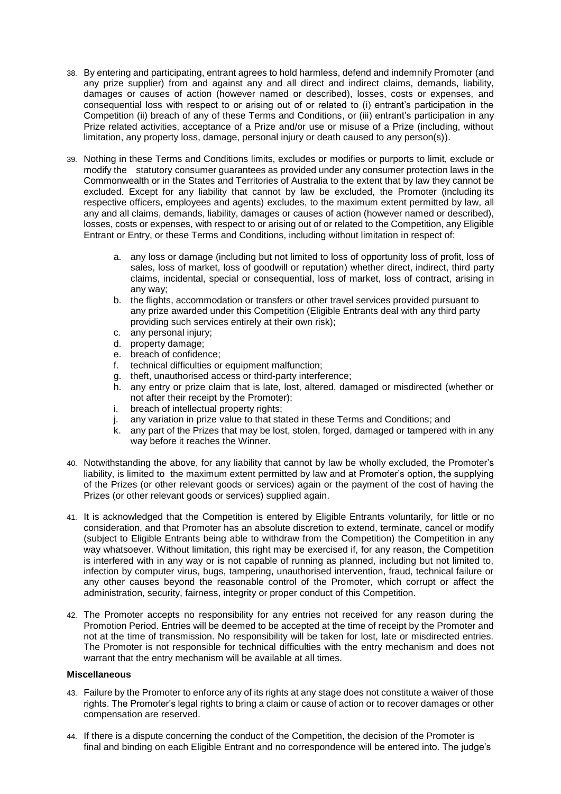- 38. By entering and participating, entrant agrees to hold harmless, defend and indemnify Promoter (and any prize supplier) from and against any and all direct and indirect claims, demands, liability, damages or causes of action (however named or described), losses, costs or expenses, and consequential loss with respect to or arising out of or related to (i) entrant's participation in the Competition (ii) breach of any of these Terms and Conditions, or (iii) entrant's participation in any Prize related activities, acceptance of a Prize and/or use or misuse of a Prize (including, without limitation, any property loss, damage, personal injury or death caused to any person(s)).
- 39. Nothing in these Terms and Conditions limits, excludes or modifies or purports to limit, exclude or modify the statutory consumer guarantees as provided under any consumer protection laws in the Commonwealth or in the States and Territories of Australia to the extent that by law they cannot be excluded. Except for any liability that cannot by law be excluded, the Promoter (including its respective officers, employees and agents) excludes, to the maximum extent permitted by law, all any and all claims, demands, liability, damages or causes of action (however named or described), losses, costs or expenses, with respect to or arising out of or related to the Competition, any Eligible Entrant or Entry, or these Terms and Conditions, including without limitation in respect of:
	- a. any loss or damage (including but not limited to loss of opportunity loss of profit, loss of sales, loss of market, loss of goodwill or reputation) whether direct, indirect, third party claims, incidental, special or consequential, loss of market, loss of contract, arising in any way;
	- b. the flights, accommodation or transfers or other travel services provided pursuant to any prize awarded under this Competition (Eligible Entrants deal with any third party providing such services entirely at their own risk);
	- c. any personal injury;
	- d. property damage;
	- e. breach of confidence;
	- f. technical difficulties or equipment malfunction;
	- g. theft, unauthorised access or third-party interference;
	- h. any entry or prize claim that is late, lost, altered, damaged or misdirected (whether or not after their receipt by the Promoter);
	- i. breach of intellectual property rights;
	- j. any variation in prize value to that stated in these Terms and Conditions; and
	- k. any part of the Prizes that may be lost, stolen, forged, damaged or tampered with in any way before it reaches the Winner.
- 40. Notwithstanding the above, for any liability that cannot by law be wholly excluded, the Promoter's liability, is limited to the maximum extent permitted by law and at Promoter's option, the supplying of the Prizes (or other relevant goods or services) again or the payment of the cost of having the Prizes (or other relevant goods or services) supplied again.
- 41. It is acknowledged that the Competition is entered by Eligible Entrants voluntarily, for little or no consideration, and that Promoter has an absolute discretion to extend, terminate, cancel or modify (subject to Eligible Entrants being able to withdraw from the Competition) the Competition in any way whatsoever. Without limitation, this right may be exercised if, for any reason, the Competition is interfered with in any way or is not capable of running as planned, including but not limited to, infection by computer virus, bugs, tampering, unauthorised intervention, fraud, technical failure or any other causes beyond the reasonable control of the Promoter, which corrupt or affect the administration, security, fairness, integrity or proper conduct of this Competition.
- 42. The Promoter accepts no responsibility for any entries not received for any reason during the Promotion Period. Entries will be deemed to be accepted at the time of receipt by the Promoter and not at the time of transmission. No responsibility will be taken for lost, late or misdirected entries. The Promoter is not responsible for technical difficulties with the entry mechanism and does not warrant that the entry mechanism will be available at all times.

### **Miscellaneous**

- 43. Failure by the Promoter to enforce any of its rights at any stage does not constitute a waiver of those rights. The Promoter's legal rights to bring a claim or cause of action or to recover damages or other compensation are reserved.
- 44. If there is a dispute concerning the conduct of the Competition, the decision of the Promoter is final and binding on each Eligible Entrant and no correspondence will be entered into. The judge's